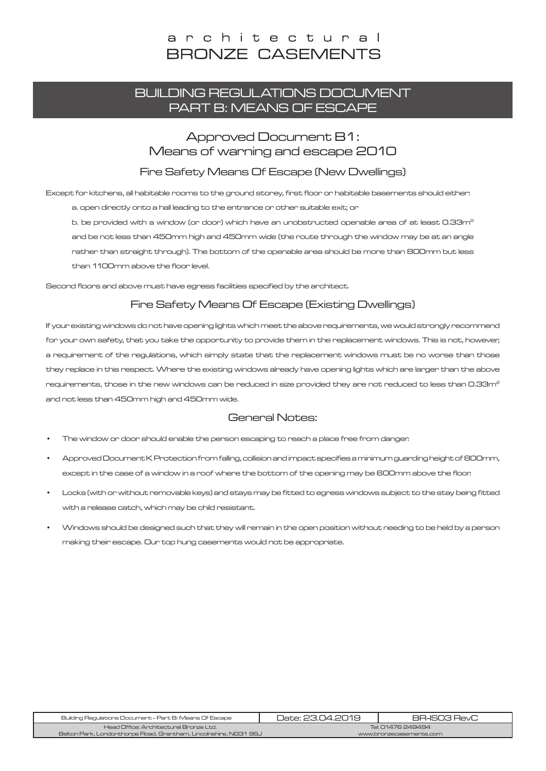### architectural **BRONZE CASEMENTS**

### BUILDING REGULATIONS DOCUMENT PART B: MEANS OF ESCAPE

### Approved Document B1: Means of warning and escape 2010

#### Fire Safety Means Of Escape (New Dwellings)

Except for kitchens, all habitable rooms to the ground storey, first floor or habitable basements should either:

a. open directly onto a hall leading to the entrance or other suitable exit; or

b. be provided with a window (or door) which have an unobstructed openable area of at least 0.33m<sup>2</sup> and be not less than 450mm high and 450mm wide (the route through the window may be at an angle rather than straight through). The bottom of the openable area should be more than 800mm but less than 1100mm above the floor level.

Second floors and above must have egress facilities specified by the architect.

#### Fire Safety Means Of Escape (Existing Dwellings)

If your existing windows do not have opening lights which meet the above requirements, we would strongly recommend for your own safety, that you take the opportunity to provide them in the replacement windows. This is not, however, a requirement of the regulations, which simply state that the replacement windows must be no worse than those they replace in this respect. Where the existing windows already have opening lights which are larger than the above requirements, those in the new windows can be reduced in size provided they are not reduced to less than 0.33m<sup>2</sup> and not less than 450mm high and 450mm wide.

#### General Notes:

- The window or door should enable the person escaping to reach a place free from danger.
- Approved Document K Protection from falling, collision and impact specifies a minimum guarding height of 800mm, except in the case of a window in a roof where the bottom of the opening may be 600mm above the floor.
- Locks (with or without removable keys) and stays may be fitted to egress windows subject to the stay being fitted with a release catch, which may be child resistant.
- Windows should be designed such that they will remain in the open position without needing to be held by a person making their escape. Our top hung casements would not be appropriate.

| Building Regulations Document - Part B: Means Of Escape            | Date: 23.04.2019        | BB-ISO3 BevC |
|--------------------------------------------------------------------|-------------------------|--------------|
| Head Office: Architectural Bronze Ltd.                             | Tel: 01476 249494       |              |
| Belton Park, Londonthorpe Road, Grantham, Lincolnshire, NG31 9SJ 1 | www.bronzecasements.com |              |